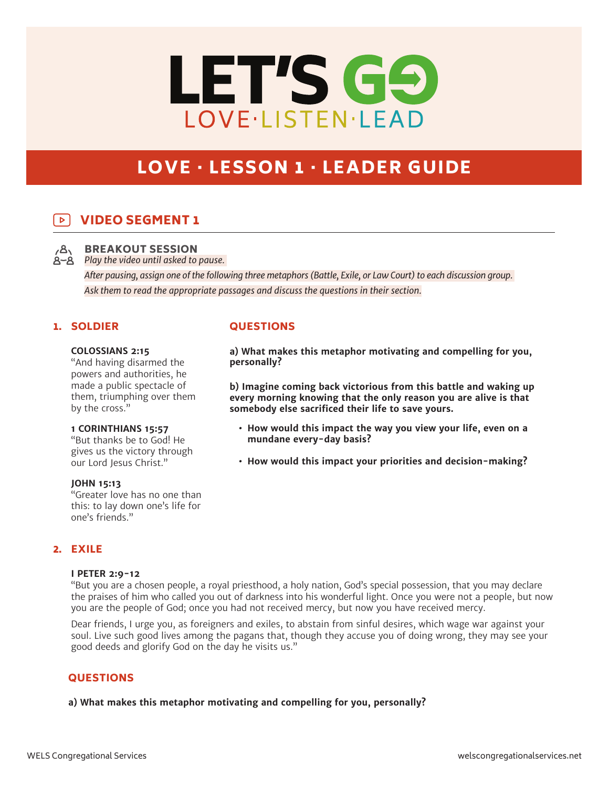# LET'S GO LOVE·LISTEN·LEAD

# LOVE · LESSON 1 · LEADER GUIDE

## VIDEO SEGMENT 1



BREAKOUT SESSION

*Play the video until asked to pause.* 

*After pausing, assign one of the following three metaphors (Battle, Exile, or Law Court) to each discussion group. Ask them to read the appropriate passages and discuss the questions in their section.*

#### 1. SOLDIER

#### **COLOSSIANS 2:15**

"And having disarmed the powers and authorities, he made a public spectacle of them, triumphing over them by the cross."

#### **1 CORINTHIANS 15:57**

"But thanks be to God! He gives us the victory through our Lord Jesus Christ."

#### **JOHN 15:13**

"Greater love has no one than this: to lay down one's life for one's friends."

#### **QUESTIONS**

**a) What makes this metaphor motivating and compelling for you, personally?** 

**b) Imagine coming back victorious from this battle and waking up every morning knowing that the only reason you are alive is that somebody else sacrificed their life to save yours.** 

- **• How would this impact the way you view your life, even on a mundane every-day basis?**
- **• How would this impact your priorities and decision-making?**

## 2. EXILE

#### **I PETER 2:9-12**

"But you are a chosen people, a royal priesthood, a holy nation, God's special possession, that you may declare the praises of him who called you out of darkness into his wonderful light. Once you were not a people, but now you are the people of God; once you had not received mercy, but now you have received mercy.

Dear friends, I urge you, as foreigners and exiles, to abstain from sinful desires, which wage war against your soul. Live such good lives among the pagans that, though they accuse you of doing wrong, they may see your good deeds and glorify God on the day he visits us."

#### **QUESTIONS**

#### **a) What makes this metaphor motivating and compelling for you, personally?**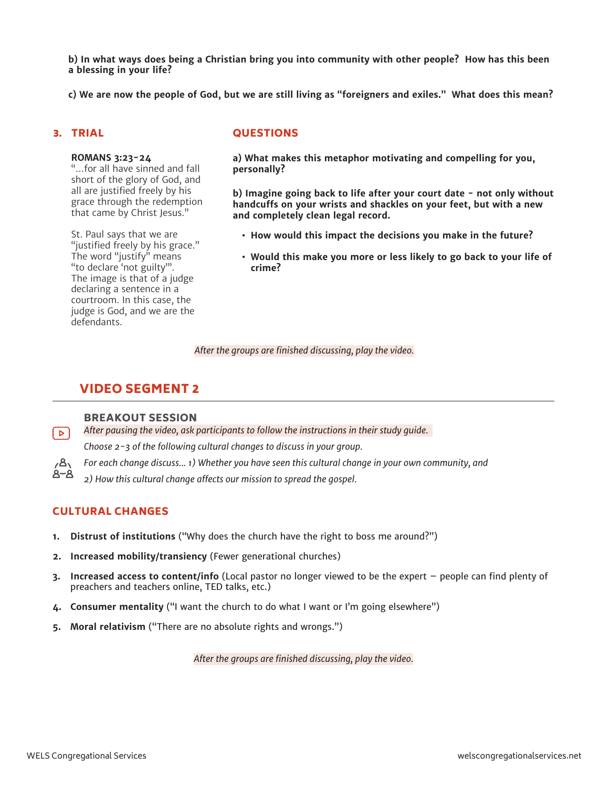**b) In what ways does being a Christian bring you into community with other people? How has this been a blessing in your life?**

**c) We are now the people of God, but we are still living as "foreigners and exiles." What does this mean?**

#### 3. TRIAL

#### **ROMANS 3:23-24**

"…for all have sinned and fall short of the glory of God, and all are justified freely by his grace through the redemption that came by Christ Jesus."

St. Paul says that we are "justified freely by his grace." The word "justify" means "to declare 'not guilty'". The image is that of a judge declaring a sentence in a courtroom. In this case, the judge is God, and we are the defendants.

#### **QUESTIONS**

**a) What makes this metaphor motivating and compelling for you, personally?**

**b) Imagine going back to life after your court date - not only without handcuffs on your wrists and shackles on your feet, but with a new and completely clean legal record.** 

- **• How would this impact the decisions you make in the future?**
- **• Would this make you more or less likely to go back to your life of crime?**

*After the groups are finished discussing, play the video.*

### VIDEO SEGMENT 2

#### BREAKOUT SESSION

*After pausing the video, ask participants to follow the instructions in their study guide.*   $\triangleright$ *Choose 2-3 of the following cultural changes to discuss in your group.* 

*For each change discuss... 1) Whether you have seen this cultural change in your own community, and* 

*2) How this cultural change affects our mission to spread the gospel.*

#### CULTURAL CHANGES

 $\overline{3}$ 8~8

- **1. Distrust of institutions** ("Why does the church have the right to boss me around?")
- **2. Increased mobility/transiency** (Fewer generational churches)
- **3. Increased access to content/info** (Local pastor no longer viewed to be the expert people can find plenty of preachers and teachers online, TED talks, etc.)
- **4. Consumer mentality** ("I want the church to do what I want or I'm going elsewhere")
- **5. Moral relativism** ("There are no absolute rights and wrongs.")

*After the groups are finished discussing, play the video.*